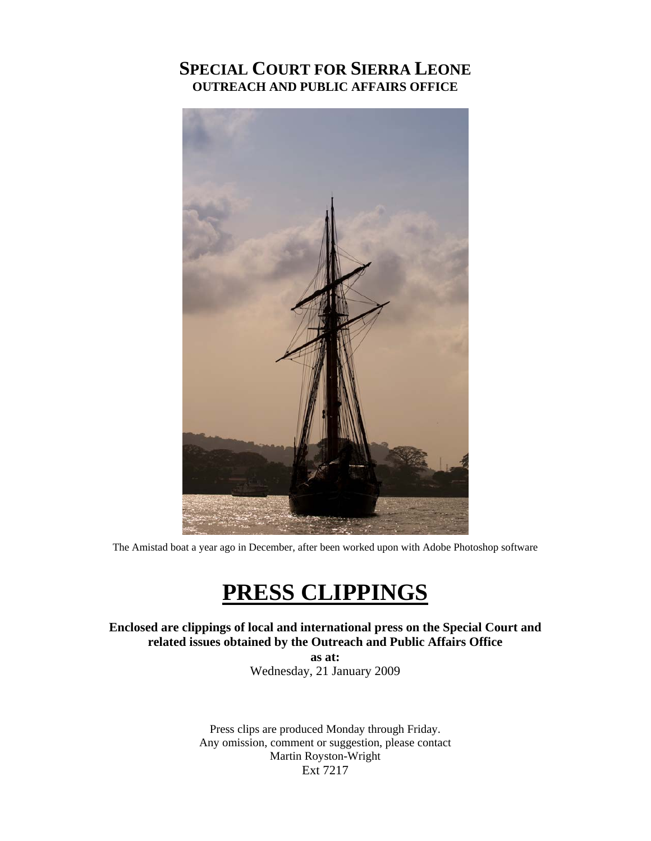# **SPECIAL COURT FOR SIERRA LEONE OUTREACH AND PUBLIC AFFAIRS OFFICE**



The Amistad boat a year ago in December, after been worked upon with Adobe Photoshop software

# **PRESS CLIPPINGS**

**Enclosed are clippings of local and international press on the Special Court and related issues obtained by the Outreach and Public Affairs Office** 

> **as at:**  Wednesday, 21 January 2009

Press clips are produced Monday through Friday. Any omission, comment or suggestion, please contact Martin Royston-Wright Ext 7217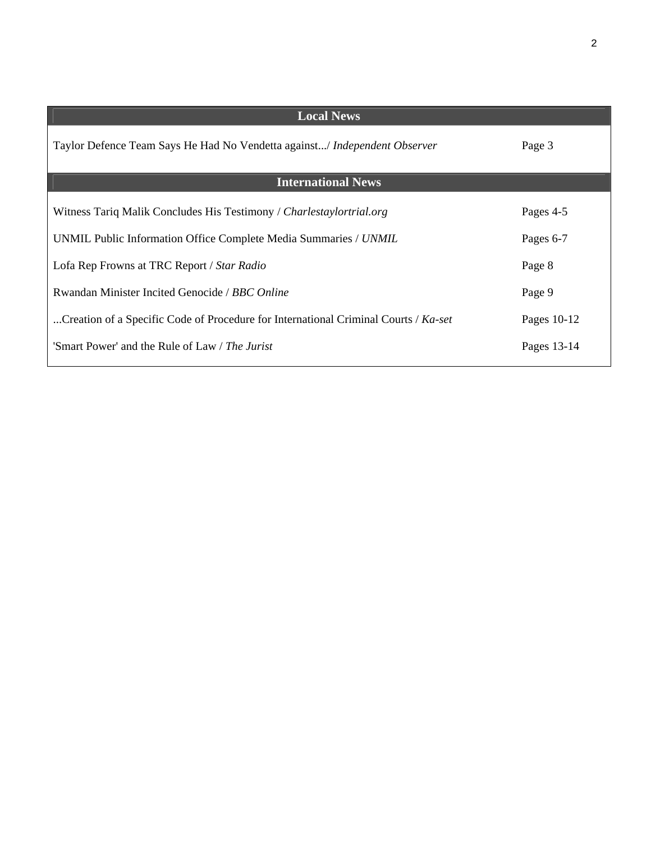| <b>Local News</b>                                                                            |             |
|----------------------------------------------------------------------------------------------|-------------|
| Taylor Defence Team Says He Had No Vendetta against/ Independent Observer                    | Page 3      |
| <b>International News</b>                                                                    |             |
| Witness Tariq Malik Concludes His Testimony / Charlestaylortrial.org                         | Pages 4-5   |
| UNMIL Public Information Office Complete Media Summaries / UNMIL                             | Pages 6-7   |
| Lofa Rep Frowns at TRC Report / Star Radio                                                   | Page 8      |
| Rwandan Minister Incited Genocide / BBC Online                                               | Page 9      |
| Creation of a Specific Code of Procedure for International Criminal Courts / $Ka\text{-}set$ | Pages 10-12 |
| 'Smart Power' and the Rule of Law / The Jurist                                               | Pages 13-14 |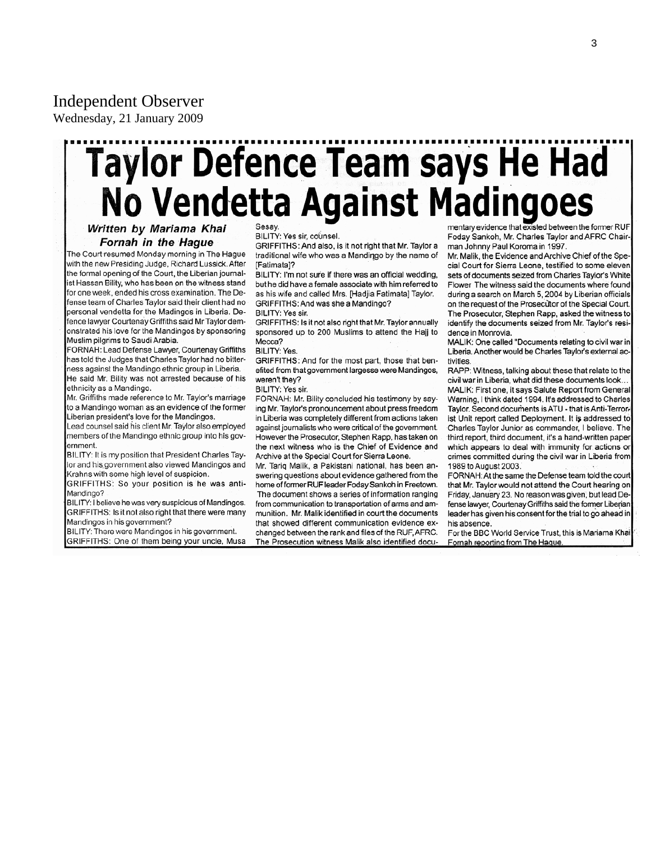# Independent Observer

Wednesday, 21 January 2009

# Taylor Defence Team says He Had<br>No Vendetta Against Madingoes

Written by Mariama Khai **Fornah in the Haque** 

The Court resumed Monday morning in The Hague with the new Presiding Judge, Richard Lussick. After the formal opening of the Court, the Liberian journalist Hassan Bility, who has been on the witness stand for one week, ended his cross examination. The Defense team of Charles Taylor said their client had no personal vendetta for the Madingos in Liberia. Defence lawyer Courtenay Griffiths said Mr Taylor demonstrated his love for the Mandingos by sponsoring Muslim pilgrims to Saudi Arabia.

FORNAH: Lead Defense Lawyer, Courtenay Griffiths has told the Judges that Charles Taylor had no bitterness against the Mandingo ethnic group in Liberia. He said Mr. Bility was not arrested because of his ethnicity as a Mandingo.

Mr. Griffiths made reference to Mr. Taylor's marriage to a Mandingo woman as an evidence of the former Liberian president's love for the Mandingos.

Lead counsel said his client Mr. Taylor also employed members of the Mandingo ethnic group into his government

BILITY: It is my position that President Charles Taylor and his government also viewed Mandingos and Krahns with some high level of suspicion.

GRIFFITHS: So your position is he was anti-Mandingo?

BILITY: I believe he was very suspicious of Mandingos. GRIFFITHS: Is it not also right that there were many Mandingos in his government?

BILITY: There were Mandingos in his government. GRIFFITHS: One of them being your uncle, Musa Sesay.

BILITY: Yes sir, counsel.

GRIFFITHS: And also, is it not right that Mr. Taylor a traditional wife who was a Mandingo by the name of [Fatimata]?

BILITY: I'm not sure if there was an official wedding, but he did have a female associate with him referred to as his wife and called Mrs. [Hadjia Fatimata] Taylor. GRIFFITHS: And was she a Mandingo?

BILITY: Yes sir.

GRIFFITHS: Is it not also right that Mr. Taylor annually sponsored up to 200 Muslims to attend the Hajj to Mecca?

### **BILITY: Yes**

GRIFFITHS: And for the most part, those that benefited from that government largesse were Mandingos, weren't they?

BILITY: Yes sir.

FORNAH: Mr. Bility concluded his testimony by saying Mr. Taylor's pronouncement about press freedom in Liberia was completely different from actions taken against journalists who were critical of the government. However the Prosecutor, Stephen Rapp, has taken on the next witness who is the Chief of Evidence and Archive at the Special Court for Sierra Leone.

Mr. Tariq Malik, a Pakistani national, has been answering questions about evidence gathered from the home of former RUF leader Foday Sankoh in Freetown. The document shows a series of information ranging from communication to transportation of arms and ammunition. Mr. Malik identified in court the documents that showed different communication evidence exchanged between the rank and files of the RUF, AFRC. The Prosecution witness Malik also identified docu-

mentary evidence that existed between the former RUF Foday Sankoh, Mr. Charles Taylor and AFRC Chairman Johnny Paul Koroma in 1997.

Mr. Malik, the Evidence and Archive Chief of the Special Court for Sierra Leone, testified to some eleven sets of documents seized from Charles Taylor's White Flower The witness said the documents where found during a search on March 5, 2004 by Liberian officials on the request of the Prosecutor of the Special Court. The Prosecutor, Stephen Rapp, asked the witness to identify the documents seized from Mr. Taylor's residence in Monrovia.

MALIK: One called "Documents relating to civil war in Liberia. Another would be Charles Taylor's external activities

RAPP: Witness, talking about these that relate to the civil war in Liberia, what did these documents look.. MALIK: First one, it says Salute Report from General Warning, I think dated 1994. It's addressed to Charles Taylor. Second documents is ATU - that is Anti-Terrorist Unit report called Deployment. It is addressed to Charles Taylor Junior as commander, I believe. The third report, third document, it's a hand-written paper which appears to deal with immunity for actions or crimes committed during the civil war in Liberia from 1989 to August 2003.

FORNAH: At the same the Defense team told the court that Mr. Taylor would not attend the Court hearing on Friday, January 23. No reason was given, but lead Defense lawyer, Courtenay Griffiths said the former Liberian leader has given his consent for the trial to go ahead in his absence.

For the BBC World Service Trust, this is Mariama Khai Fornah reporting from The Haque.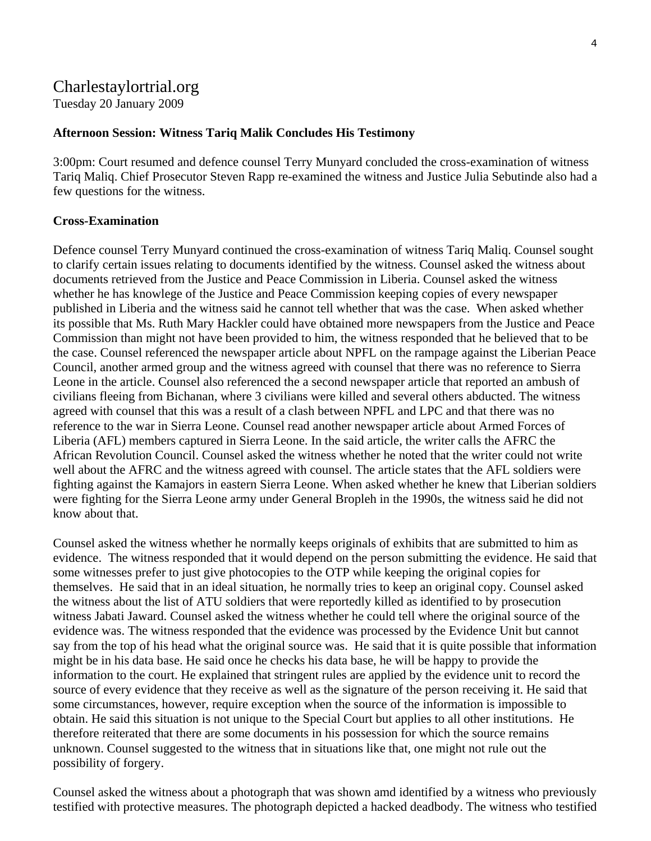# Charlestaylortrial.org

Tuesday 20 January 2009

### **Afternoon Session: Witness Tariq Malik Concludes His Testimony**

3:00pm: Court resumed and defence counsel Terry Munyard concluded the cross-examination of witness Tariq Maliq. Chief Prosecutor Steven Rapp re-examined the witness and Justice Julia Sebutinde also had a few questions for the witness.

### **Cross-Examination**

Defence counsel Terry Munyard continued the cross-examination of witness Tariq Maliq. Counsel sought to clarify certain issues relating to documents identified by the witness. Counsel asked the witness about documents retrieved from the Justice and Peace Commission in Liberia. Counsel asked the witness whether he has knowlege of the Justice and Peace Commission keeping copies of every newspaper published in Liberia and the witness said he cannot tell whether that was the case. When asked whether its possible that Ms. Ruth Mary Hackler could have obtained more newspapers from the Justice and Peace Commission than might not have been provided to him, the witness responded that he believed that to be the case. Counsel referenced the newspaper article about NPFL on the rampage against the Liberian Peace Council, another armed group and the witness agreed with counsel that there was no reference to Sierra Leone in the article. Counsel also referenced the a second newspaper article that reported an ambush of civilians fleeing from Bichanan, where 3 civilians were killed and several others abducted. The witness agreed with counsel that this was a result of a clash between NPFL and LPC and that there was no reference to the war in Sierra Leone. Counsel read another newspaper article about Armed Forces of Liberia (AFL) members captured in Sierra Leone. In the said article, the writer calls the AFRC the African Revolution Council. Counsel asked the witness whether he noted that the writer could not write well about the AFRC and the witness agreed with counsel. The article states that the AFL soldiers were fighting against the Kamajors in eastern Sierra Leone. When asked whether he knew that Liberian soldiers were fighting for the Sierra Leone army under General Bropleh in the 1990s, the witness said he did not know about that.

Counsel asked the witness whether he normally keeps originals of exhibits that are submitted to him as evidence. The witness responded that it would depend on the person submitting the evidence. He said that some witnesses prefer to just give photocopies to the OTP while keeping the original copies for themselves. He said that in an ideal situation, he normally tries to keep an original copy. Counsel asked the witness about the list of ATU soldiers that were reportedly killed as identified to by prosecution witness Jabati Jaward. Counsel asked the witness whether he could tell where the original source of the evidence was. The witness responded that the evidence was processed by the Evidence Unit but cannot say from the top of his head what the original source was. He said that it is quite possible that information might be in his data base. He said once he checks his data base, he will be happy to provide the information to the court. He explained that stringent rules are applied by the evidence unit to record the source of every evidence that they receive as well as the signature of the person receiving it. He said that some circumstances, however, require exception when the source of the information is impossible to obtain. He said this situation is not unique to the Special Court but applies to all other institutions. He therefore reiterated that there are some documents in his possession for which the source remains unknown. Counsel suggested to the witness that in situations like that, one might not rule out the possibility of forgery.

Counsel asked the witness about a photograph that was shown amd identified by a witness who previously testified with protective measures. The photograph depicted a hacked deadbody. The witness who testified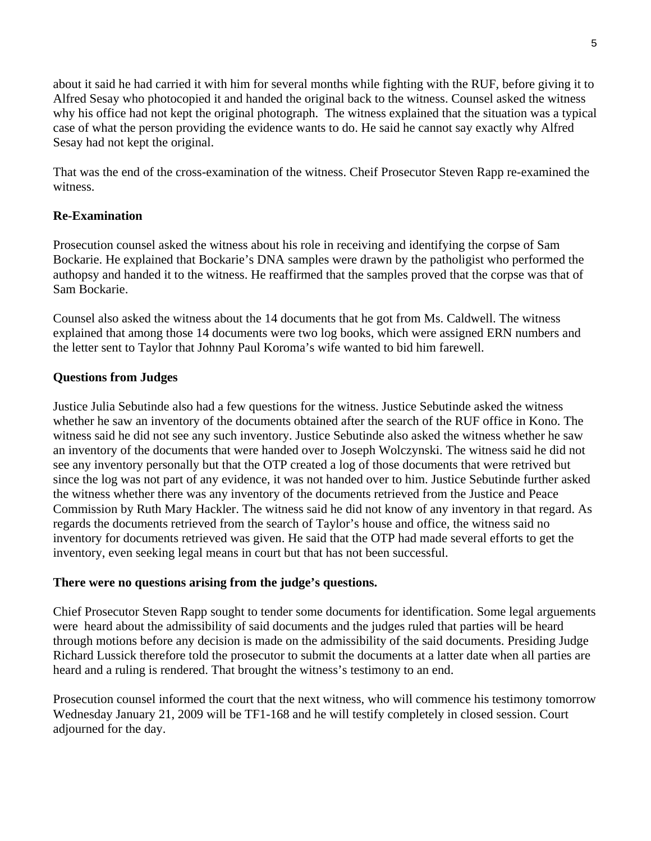about it said he had carried it with him for several months while fighting with the RUF, before giving it to Alfred Sesay who photocopied it and handed the original back to the witness. Counsel asked the witness why his office had not kept the original photograph. The witness explained that the situation was a typical case of what the person providing the evidence wants to do. He said he cannot say exactly why Alfred Sesay had not kept the original.

That was the end of the cross-examination of the witness. Cheif Prosecutor Steven Rapp re-examined the witness.

### **Re-Examination**

Prosecution counsel asked the witness about his role in receiving and identifying the corpse of Sam Bockarie. He explained that Bockarie's DNA samples were drawn by the patholigist who performed the authopsy and handed it to the witness. He reaffirmed that the samples proved that the corpse was that of Sam Bockarie.

Counsel also asked the witness about the 14 documents that he got from Ms. Caldwell. The witness explained that among those 14 documents were two log books, which were assigned ERN numbers and the letter sent to Taylor that Johnny Paul Koroma's wife wanted to bid him farewell.

### **Questions from Judges**

Justice Julia Sebutinde also had a few questions for the witness. Justice Sebutinde asked the witness whether he saw an inventory of the documents obtained after the search of the RUF office in Kono. The witness said he did not see any such inventory. Justice Sebutinde also asked the witness whether he saw an inventory of the documents that were handed over to Joseph Wolczynski. The witness said he did not see any inventory personally but that the OTP created a log of those documents that were retrived but since the log was not part of any evidence, it was not handed over to him. Justice Sebutinde further asked the witness whether there was any inventory of the documents retrieved from the Justice and Peace Commission by Ruth Mary Hackler. The witness said he did not know of any inventory in that regard. As regards the documents retrieved from the search of Taylor's house and office, the witness said no inventory for documents retrieved was given. He said that the OTP had made several efforts to get the inventory, even seeking legal means in court but that has not been successful.

### **There were no questions arising from the judge's questions.**

Chief Prosecutor Steven Rapp sought to tender some documents for identification. Some legal arguements were heard about the admissibility of said documents and the judges ruled that parties will be heard through motions before any decision is made on the admissibility of the said documents. Presiding Judge Richard Lussick therefore told the prosecutor to submit the documents at a latter date when all parties are heard and a ruling is rendered. That brought the witness's testimony to an end.

Prosecution counsel informed the court that the next witness, who will commence his testimony tomorrow Wednesday January 21, 2009 will be TF1-168 and he will testify completely in closed session. Court adjourned for the day.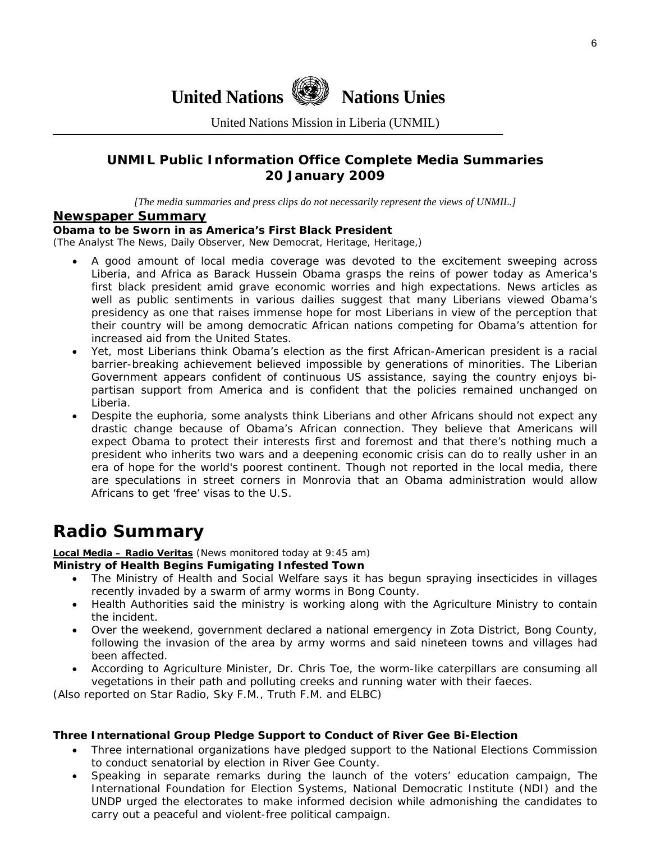**United Nations We Nations Unies** 

United Nations Mission in Liberia (UNMIL)

### **UNMIL Public Information Office Complete Media Summaries 20 January 2009**

*[The media summaries and press clips do not necessarily represent the views of UNMIL.]* 

### **Newspaper Summary**

### **Obama to be Sworn in as America's First Black President**

(The Analyst The News, Daily Observer, New Democrat, Heritage, Heritage,)

- A good amount of local media coverage was devoted to the excitement sweeping across Liberia, and Africa as Barack Hussein Obama grasps the reins of power today as America's first black president amid grave economic worries and high expectations. News articles as well as public sentiments in various dailies suggest that many Liberians viewed Obama's presidency as one that raises immense hope for most Liberians in view of the perception that their country will be among democratic African nations competing for Obama's attention for increased aid from the United States.
- Yet, most Liberians think Obama's election as the first African-American president is a racial barrier-breaking achievement believed impossible by generations of minorities. The Liberian Government appears confident of continuous US assistance, saying the country enjoys bipartisan support from America and is confident that the policies remained unchanged on Liberia.
- Despite the euphoria, some analysts think Liberians and other Africans should not expect any drastic change because of Obama's African connection. They believe that Americans will expect Obama to protect their interests first and foremost and that there's nothing much a president who inherits two wars and a deepening economic crisis can do to really usher in an era of hope for the world's poorest continent. Though not reported in the local media, there are speculations in street corners in Monrovia that an Obama administration would allow Africans to get 'free' visas to the U.S.

# **Radio Summary**

### **Local Media – Radio Veritas** *(News monitored today at 9:45 am)*

### **Ministry of Health Begins Fumigating Infested Town**

- The Ministry of Health and Social Welfare says it has begun spraying insecticides in villages recently invaded by a swarm of army worms in Bong County.
- Health Authorities said the ministry is working along with the Agriculture Ministry to contain the incident.
- Over the weekend, government declared a national emergency in Zota District, Bong County, following the invasion of the area by army worms and said nineteen towns and villages had been affected.
- According to Agriculture Minister, Dr. Chris Toe, the worm-like caterpillars are consuming all vegetations in their path and polluting creeks and running water with their faeces.

(*Also reported on Star Radio, Sky F.M., Truth F.M. and ELBC*)

### **Three International Group Pledge Support to Conduct of River Gee Bi-Election**

- Three international organizations have pledged support to the National Elections Commission to conduct senatorial by election in River Gee County.
- Speaking in separate remarks during the launch of the voters' education campaign, The International Foundation for Election Systems, National Democratic Institute (NDI) and the UNDP urged the electorates to make informed decision while admonishing the candidates to carry out a peaceful and violent-free political campaign.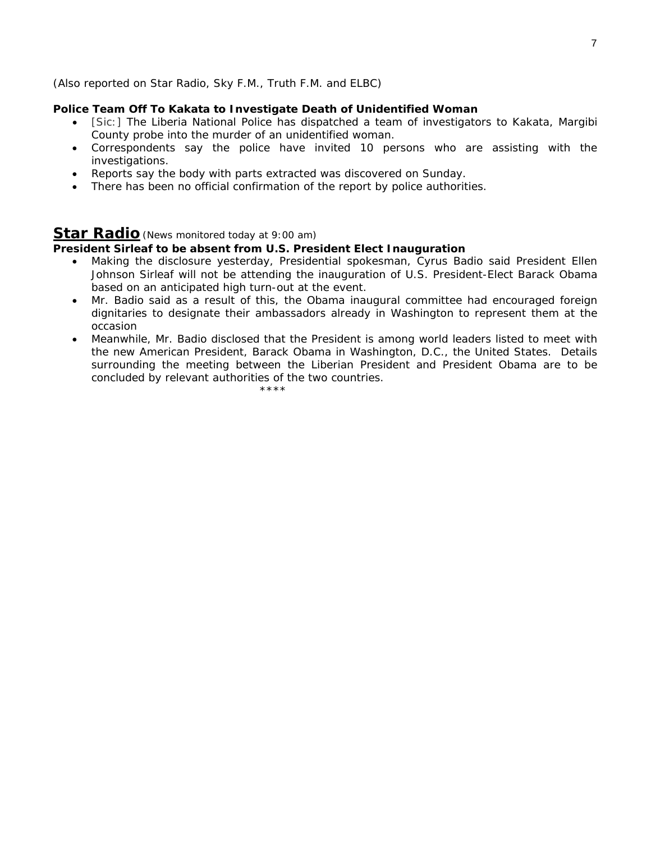### (*Also reported on Star Radio, Sky F.M., Truth F.M. and ELBC*)

### **Police Team Off To Kakata to Investigate Death of Unidentified Woman**

- [Sic:] The Liberia National Police has dispatched a team of investigators to Kakata, Margibi County probe into the murder of an unidentified woman.
- Correspondents say the police have invited 10 persons who are assisting with the investigations.
- Reports say the body with parts extracted was discovered on Sunday.
- There has been no official confirmation of the report by police authorities.

### **Star Radio***(News monitored today at 9:00 am)*

### **President Sirleaf to be absent from U.S. President Elect Inauguration**

- Making the disclosure yesterday, Presidential spokesman, Cyrus Badio said President Ellen Johnson Sirleaf will not be attending the inauguration of U.S. President-Elect Barack Obama based on an anticipated high turn-out at the event.
- Mr. Badio said as a result of this, the Obama inaugural committee had encouraged foreign dignitaries to designate their ambassadors already in Washington to represent them at the occasion
- Meanwhile, Mr. Badio disclosed that the President is among world leaders listed to meet with the new American President, Barack Obama in Washington, D.C., the United States. Details surrounding the meeting between the Liberian President and President Obama are to be concluded by relevant authorities of the two countries.

\*\*\*\*\*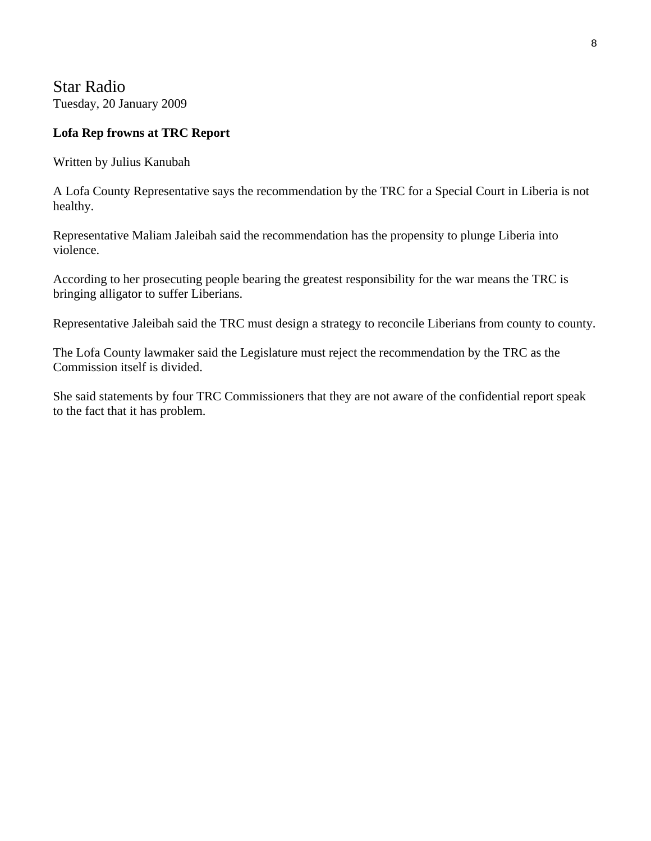Star Radio Tuesday, 20 January 2009

### **Lofa Rep frowns at TRC Report**

Written by Julius Kanubah

A Lofa County Representative says the recommendation by the TRC for a Special Court in Liberia is not healthy.

Representative Maliam Jaleibah said the recommendation has the propensity to plunge Liberia into violence.

According to her prosecuting people bearing the greatest responsibility for the war means the TRC is bringing alligator to suffer Liberians.

Representative Jaleibah said the TRC must design a strategy to reconcile Liberians from county to county.

The Lofa County lawmaker said the Legislature must reject the recommendation by the TRC as the Commission itself is divided.

She said statements by four TRC Commissioners that they are not aware of the confidential report speak to the fact that it has problem.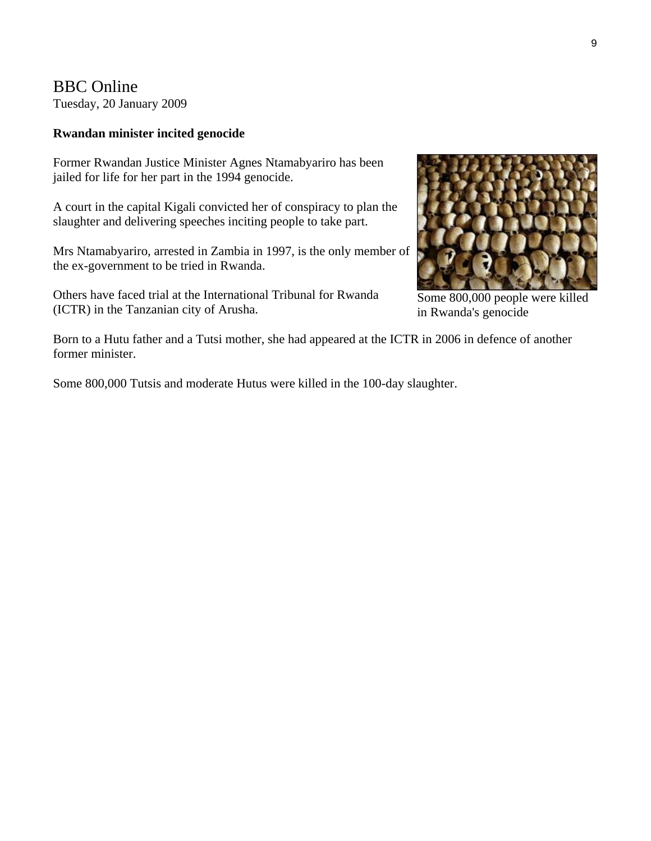BBC Online Tuesday, 20 January 2009

### **Rwandan minister incited genocide**

Former Rwandan Justice Minister Agnes Ntamabyariro has been jailed for life for her part in the 1994 genocide.

A court in the capital Kigali convicted her of conspiracy to plan the slaughter and delivering speeches inciting people to take part.

Mrs Ntamabyariro, arrested in Zambia in 1997, is the only member of the ex-government to be tried in Rwanda.

Others have faced trial at the International Tribunal for Rwanda (ICTR) in the Tanzanian city of Arusha.



Some 800,000 people were killed in Rwanda's genocide

Born to a Hutu father and a Tutsi mother, she had appeared at the ICTR in 2006 in defence of another former minister.

Some 800,000 Tutsis and moderate Hutus were killed in the 100-day slaughter.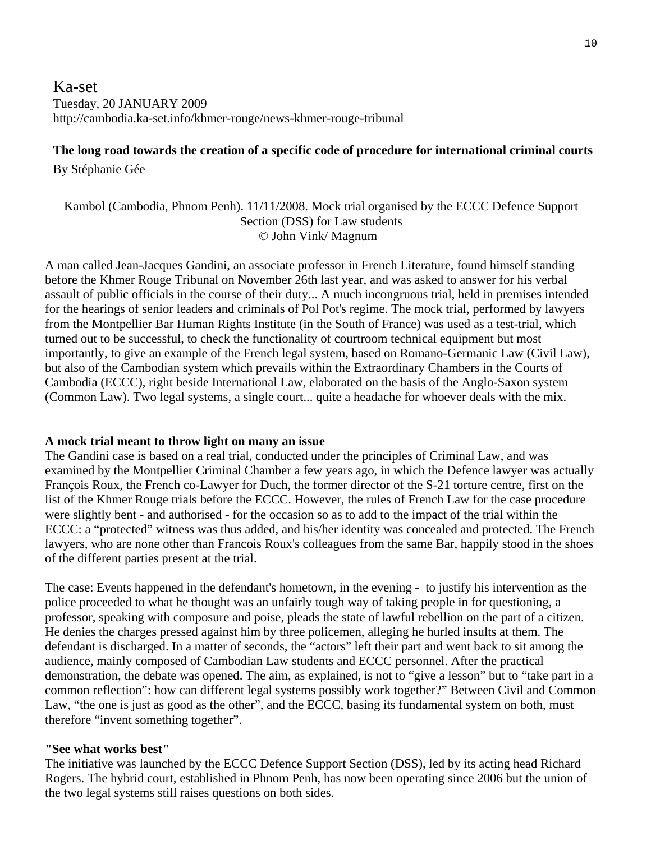### Ka-set Tuesday, 20 JANUARY 2009 http://cambodia.ka-set.info/khmer-rouge/news-khmer-rouge-tribunal

### **The long road towards the creation of a specific code of procedure for international criminal courts**

By Stéphanie Gée

### Kambol (Cambodia, Phnom Penh). 11/11/2008. Mock trial organised by the ECCC Defence Support Section (DSS) for Law students © John Vink/ Magnum

A man called Jean-Jacques Gandini, an associate professor in French Literature, found himself standing before the Khmer Rouge Tribunal on November 26th last year, and was asked to answer for his verbal assault of public officials in the course of their duty... A much incongruous trial, held in premises intended for the hearings of senior leaders and criminals of Pol Pot's regime. The mock trial, performed by lawyers from the Montpellier Bar Human Rights Institute (in the South of France) was used as a test-trial, which turned out to be successful, to check the functionality of courtroom technical equipment but most importantly, to give an example of the French legal system, based on Romano-Germanic Law (Civil Law), but also of the Cambodian system which prevails within the Extraordinary Chambers in the Courts of Cambodia (ECCC), right beside International Law, elaborated on the basis of the Anglo-Saxon system (Common Law). Two legal systems, a single court... quite a headache for whoever deals with the mix.

### **A mock trial meant to throw light on many an issue**

The Gandini case is based on a real trial, conducted under the principles of Criminal Law, and was examined by the Montpellier Criminal Chamber a few years ago, in which the Defence lawyer was actually François Roux, the French co-Lawyer for Duch, the former director of the S-21 torture centre, first on the list of the Khmer Rouge trials before the ECCC. However, the rules of French Law for the case procedure were slightly bent - and authorised - for the occasion so as to add to the impact of the trial within the ECCC: a "protected" witness was thus added, and his/her identity was concealed and protected. The French lawyers, who are none other than Francois Roux's colleagues from the same Bar, happily stood in the shoes of the different parties present at the trial.

The case: Events happened in the defendant's hometown, in the evening - to justify his intervention as the police proceeded to what he thought was an unfairly tough way of taking people in for questioning, a professor, speaking with composure and poise, pleads the state of lawful rebellion on the part of a citizen. He denies the charges pressed against him by three policemen, alleging he hurled insults at them. The defendant is discharged. In a matter of seconds, the "actors" left their part and went back to sit among the audience, mainly composed of Cambodian Law students and ECCC personnel. After the practical demonstration, the debate was opened. The aim, as explained, is not to "give a lesson" but to "take part in a common reflection": how can different legal systems possibly work together?" Between Civil and Common Law, "the one is just as good as the other", and the ECCC, basing its fundamental system on both, must therefore "invent something together".

### **"See what works best"**

The initiative was launched by the ECCC Defence Support Section (DSS), led by its acting head Richard Rogers. The hybrid court, established in Phnom Penh, has now been operating since 2006 but the union of the two legal systems still raises questions on both sides.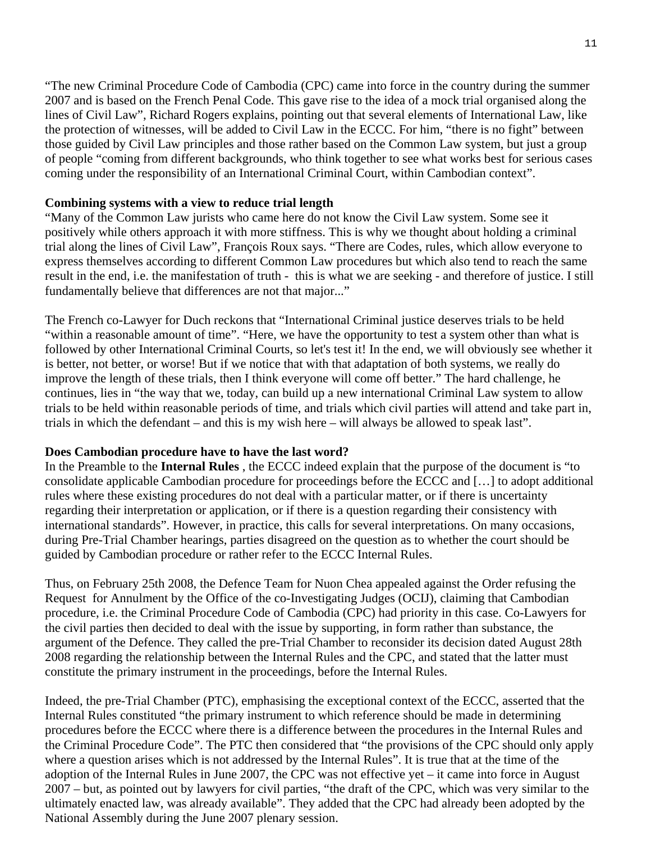"The new Criminal Procedure Code of Cambodia (CPC) came into force in the country during the summer 2007 and is based on the French Penal Code. This gave rise to the idea of a mock trial organised along the lines of Civil Law", Richard Rogers explains, pointing out that several elements of International Law, like the protection of witnesses, will be added to Civil Law in the ECCC. For him, "there is no fight" between those guided by Civil Law principles and those rather based on the Common Law system, but just a group of people "coming from different backgrounds, who think together to see what works best for serious cases coming under the responsibility of an International Criminal Court, within Cambodian context".

### **Combining systems with a view to reduce trial length**

"Many of the Common Law jurists who came here do not know the Civil Law system. Some see it positively while others approach it with more stiffness. This is why we thought about holding a criminal trial along the lines of Civil Law", François Roux says. "There are Codes, rules, which allow everyone to express themselves according to different Common Law procedures but which also tend to reach the same result in the end, i.e. the manifestation of truth - this is what we are seeking - and therefore of justice. I still fundamentally believe that differences are not that major..."

The French co-Lawyer for Duch reckons that "International Criminal justice deserves trials to be held "within a reasonable amount of time". "Here, we have the opportunity to test a system other than what is followed by other International Criminal Courts, so let's test it! In the end, we will obviously see whether it is better, not better, or worse! But if we notice that with that adaptation of both systems, we really do improve the length of these trials, then I think everyone will come off better." The hard challenge, he continues, lies in "the way that we, today, can build up a new international Criminal Law system to allow trials to be held within reasonable periods of time, and trials which civil parties will attend and take part in, trials in which the defendant – and this is my wish here – will always be allowed to speak last".

### **Does Cambodian procedure have to have the last word?**

In the Preamble to the **[Internal Rules](http://www.eccc.gov.kh/english/cabinet/fileUpload/88/IR_Revision2_05-01-08_En.pdf)** , the ECCC indeed explain that the purpose of the document is "to consolidate applicable Cambodian procedure for proceedings before the ECCC and […] to adopt additional rules where these existing procedures do not deal with a particular matter, or if there is uncertainty regarding their interpretation or application, or if there is a question regarding their consistency with international standards". However, in practice, this calls for several interpretations. On many occasions, during Pre-Trial Chamber hearings, parties disagreed on the question as to whether the court should be guided by Cambodian procedure or rather refer to the ECCC Internal Rules.

Thus, on February 25th 2008, the Defence Team for Nuon Chea appealed against the Order refusing the Request for Annulment by the Office of the co-Investigating Judges (OCIJ), claiming that Cambodian procedure, i.e. the Criminal Procedure Code of Cambodia (CPC) had priority in this case. Co-Lawyers for the civil parties then decided to deal with the issue by supporting, in form rather than substance, the argument of the Defence. They called the pre-Trial Chamber to reconsider its decision dated August 28th 2008 regarding the relationship between the Internal Rules and the CPC, and stated that the latter must constitute the primary instrument in the proceedings, before the Internal Rules.

Indeed, the pre-Trial Chamber (PTC), emphasising the exceptional context of the ECCC, asserted that the Internal Rules constituted "the primary instrument to which reference should be made in determining procedures before the ECCC where there is a difference between the procedures in the Internal Rules and the Criminal Procedure Code". The PTC then considered that "the provisions of the CPC should only apply where a question arises which is not addressed by the Internal Rules". It is true that at the time of the adoption of the Internal Rules in June 2007, the CPC was not effective yet – it came into force in August 2007 – but, as pointed out by lawyers for civil parties, "the draft of the CPC, which was very similar to the ultimately enacted law, was already available". They added that the CPC had already been adopted by the National Assembly during the June 2007 plenary session.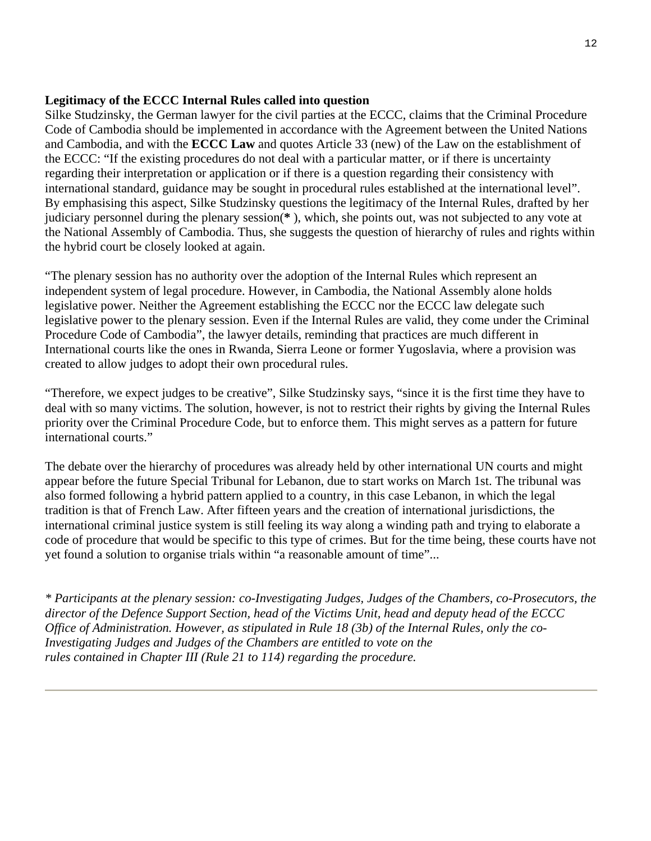### **Legitimacy of the ECCC Internal Rules called into question**

Silke Studzinsky, the German lawyer for the civil parties at the ECCC, claims that the Criminal Procedure Code of Cambodia should be implemented in accordance with the Agreement between the United Nations and Cambodia, and with the **[ECCC Law](http://www.eccc.gov.kh/english/cabinet/law/4/KR_Law_as_amended_27_Oct_2004_Eng.pdf)** and quotes Article 33 (new) of the Law on the establishment of the ECCC: "If the existing procedures do not deal with a particular matter, or if there is uncertainty regarding their interpretation or application or if there is a question regarding their consistency with international standard, guidance may be sought in procedural rules established at the international level". By emphasising this aspect, Silke Studzinsky questions the legitimacy of the Internal Rules, drafted by her judiciary personnel during the plenary session(**[\\*](http://cambodia.ka-set.info/khmer-rouge/news-khmer-rouge-tribunal-civil-common-law-international-criminal-penal-justice-trials-090120.html#foot)** ), which, she points out, was not subjected to any vote at the National Assembly of Cambodia. Thus, she suggests the question of hierarchy of rules and rights within the hybrid court be closely looked at again.

"The plenary session has no authority over the adoption of the Internal Rules which represent an independent system of legal procedure. However, in Cambodia, the National Assembly alone holds legislative power. Neither the Agreement establishing the ECCC nor the ECCC law delegate such legislative power to the plenary session. Even if the Internal Rules are valid, they come under the Criminal Procedure Code of Cambodia", the lawyer details, reminding that practices are much different in International courts like the ones in Rwanda, Sierra Leone or former Yugoslavia, where a provision was created to allow judges to adopt their own procedural rules.

"Therefore, we expect judges to be creative", Silke Studzinsky says, "since it is the first time they have to deal with so many victims. The solution, however, is not to restrict their rights by giving the Internal Rules priority over the Criminal Procedure Code, but to enforce them. This might serves as a pattern for future international courts."

The debate over the hierarchy of procedures was already held by other international UN courts and might appear before the future Special Tribunal for Lebanon, due to start works on March 1st. The tribunal was also formed following a hybrid pattern applied to a country, in this case Lebanon, in which the legal tradition is that of French Law. After fifteen years and the creation of international jurisdictions, the international criminal justice system is still feeling its way along a winding path and trying to elaborate a code of procedure that would be specific to this type of crimes. But for the time being, these courts have not yet found a solution to organise trials within "a reasonable amount of time"...

*\* Participants at the plenary session: co-Investigating Judges, Judges of the Chambers, co-Prosecutors, the director of the Defence Support Section, head of the Victims Unit, head and deputy head of the ECCC Office of Administration. However, as stipulated in Rule 18 (3b) of the Internal Rules, only the co-Investigating Judges and Judges of the Chambers are entitled to vote on the rules contained in Chapter III (Rule 21 to 114) regarding the procedure.*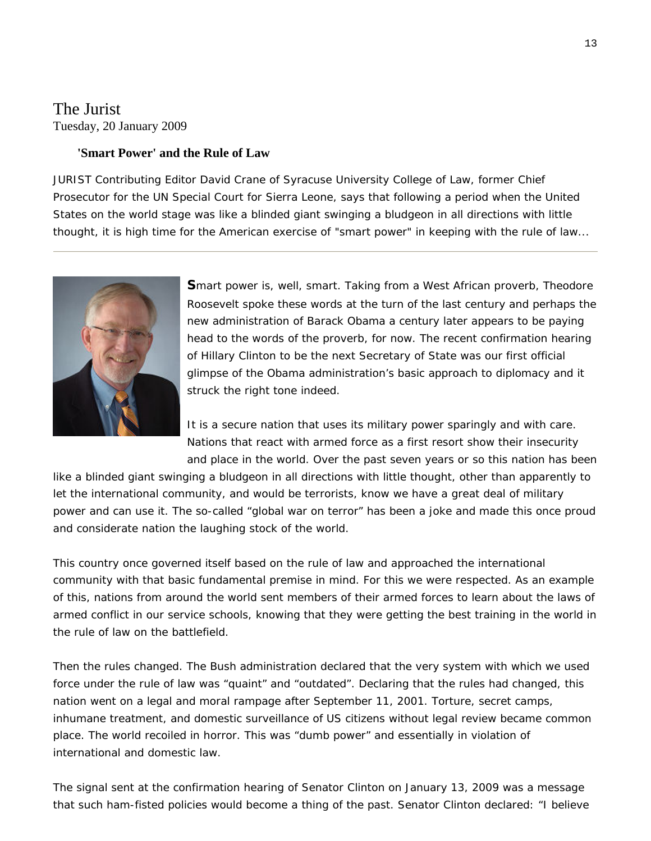# The Jurist Tuesday, 20 January 2009

### **'Smart Power' and the Rule of Law**

JURIST Contributing Editor [David Crane](http://www.law.syr.edu/faculty/facultymember.asp?fac=152) of Syracuse University College of Law, former Chief Prosecutor for the UN Special Court for Sierra Leone, says that following a period when the United States on the world stage was like a blinded giant swinging a bludgeon in all directions with little thought, it is high time for the American exercise of "smart power" in keeping with the rule of law...



**S**mart power is, well, smart. Taking from a West African proverb, Theodore Roosevelt spoke these words at the turn of the last century and perhaps the new administration of Barack Obama a century later appears to be paying head to the words of the proverb, for now. The recent confirmation hearing of Hillary Clinton to be the next Secretary of State was our first official glimpse of the Obama administration's basic approach to diplomacy and it struck the right tone indeed.

It is a secure nation that uses its military power sparingly and with care. Nations that react with armed force as a first resort show their insecurity and place in the world. Over the past seven years or so this nation has been

like a blinded giant swinging a bludgeon in all directions with little thought, other than apparently to let the international community, and would be terrorists, know we have a great deal of military power and can use it. The so-called "global war on terror" has been a joke and made this once proud and considerate nation the laughing stock of the world.

This country once governed itself based on the rule of law and approached the international community with that basic fundamental premise in mind. For this we were respected. As an example of this, nations from around the world sent members of their armed forces to learn about the laws of armed conflict in our service schools, knowing that they were getting the best training in the world in the rule of law on the battlefield.

Then the rules changed. The Bush administration declared that the very system with which we used force under the rule of law was "quaint" and "outdated". Declaring that the rules had changed, this nation went on a legal and moral rampage after September 11, 2001. Torture, secret camps, inhumane treatment, and domestic surveillance of US citizens without legal review became common place. The world recoiled in horror. This was "dumb power" and essentially in violation of international and domestic law.

The signal sent at the confirmation hearing of Senator Clinton on January 13, 2009 was a message that such ham-fisted policies would become a thing of the past. Senator Clinton declared: "I believe